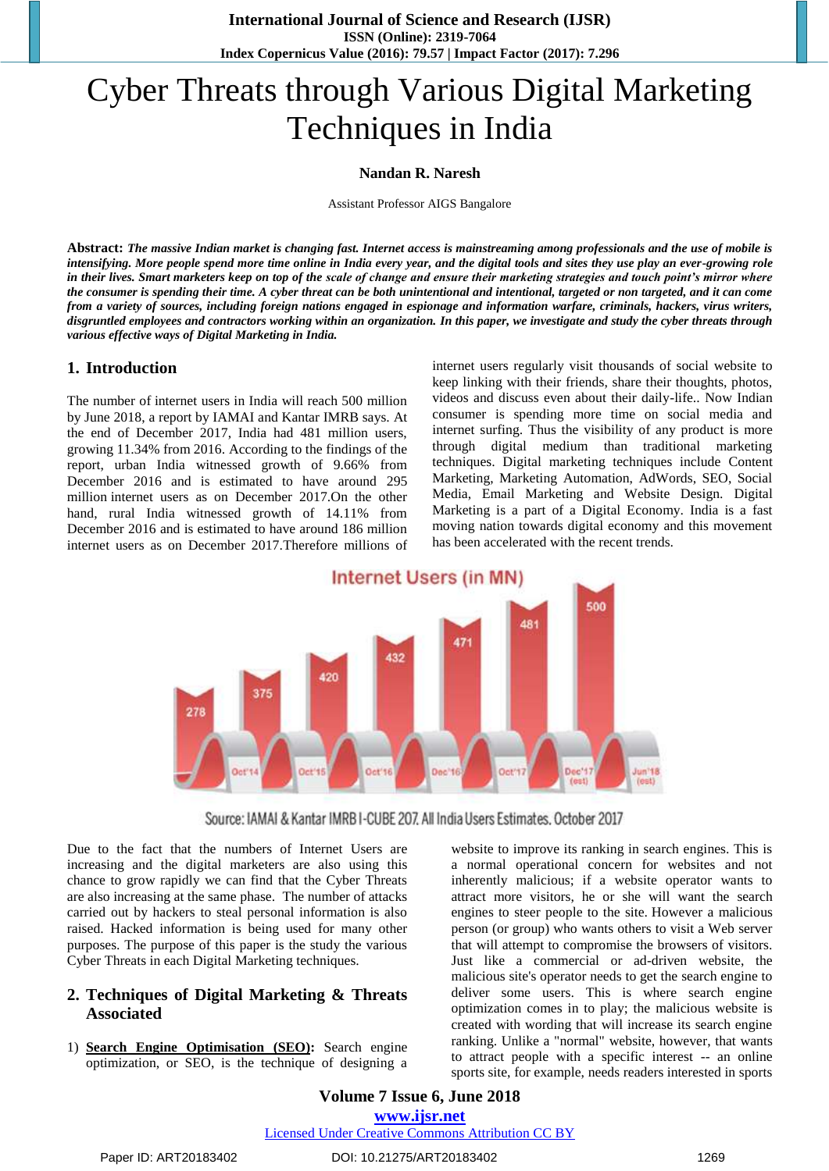# Cyber Threats through Various Digital Marketing Techniques in India

#### **Nandan R. Naresh**

Assistant Professor AIGS Bangalore

**Abstract:** *The massive Indian market is changing fast. Internet access is mainstreaming among professionals and the use of mobile is intensifying. More people spend more time online in India every year, and the digital tools and sites they use play an ever-growing role in their lives. Smart marketers keep on top of the scale of change and ensure their marketing strategies and touch point's mirror where the consumer is spending their time. A cyber threat can be both unintentional and intentional, targeted or non targeted, and it can come from a variety of sources, including foreign nations engaged in espionage and information warfare, criminals, hackers, virus writers, disgruntled employees and contractors working within an organization. In this paper, we investigate and study the cyber threats through various effective ways of Digital Marketing in India.*

#### **1. Introduction**

The number of internet users in India will reach 500 million by June 2018, a report by IAMAI and Kantar IMRB says. At the end of December 2017, India had 481 million users, growing 11.34% from 2016. According to the findings of the report, urban India witnessed growth of 9.66% from December 2016 and is estimated to have around 295 million internet users as on December 2017.On the other hand, rural India witnessed growth of 14.11% from December 2016 and is estimated to have around 186 million internet users as on December 2017.Therefore millions of internet users regularly visit thousands of social website to keep linking with their friends, share their thoughts, photos, videos and discuss even about their daily-life.. Now Indian consumer is spending more time on social media and internet surfing. Thus the visibility of any product is more through digital medium than traditional marketing techniques. Digital marketing techniques include Content Marketing, Marketing Automation, AdWords, SEO, Social Media, Email Marketing and Website Design. Digital Marketing is a part of a Digital Economy. India is a fast moving nation towards digital economy and this movement has been accelerated with the recent trends.



Source: IAMAI & Kantar IMRB I-CUBE 207, All India Users Estimates, October 2017

Due to the fact that the numbers of Internet Users are increasing and the digital marketers are also using this chance to grow rapidly we can find that the Cyber Threats are also increasing at the same phase. The number of attacks carried out by hackers to steal personal information is also raised. Hacked information is being used for many other purposes. The purpose of this paper is the study the various Cyber Threats in each Digital Marketing techniques.

## **2. Techniques of Digital Marketing & Threats Associated**

1) **Search Engine Optimisation (SEO):** Search engine optimization, or SEO, is the technique of designing a

website to improve its ranking in search engines. This is a normal operational concern for websites and not inherently malicious; if a website operator wants to attract more visitors, he or she will want the search engines to steer people to the site. However a malicious person (or group) who wants others to visit a Web server that will attempt to compromise the browsers of visitors. Just like a commercial or ad-driven website, the malicious site's operator needs to get the search engine to deliver some users. This is where search engine optimization comes in to play; the malicious website is created with wording that will increase its search engine ranking. Unlike a "normal" website, however, that wants to attract people with a specific interest -- an online sports site, for example, needs readers interested in sports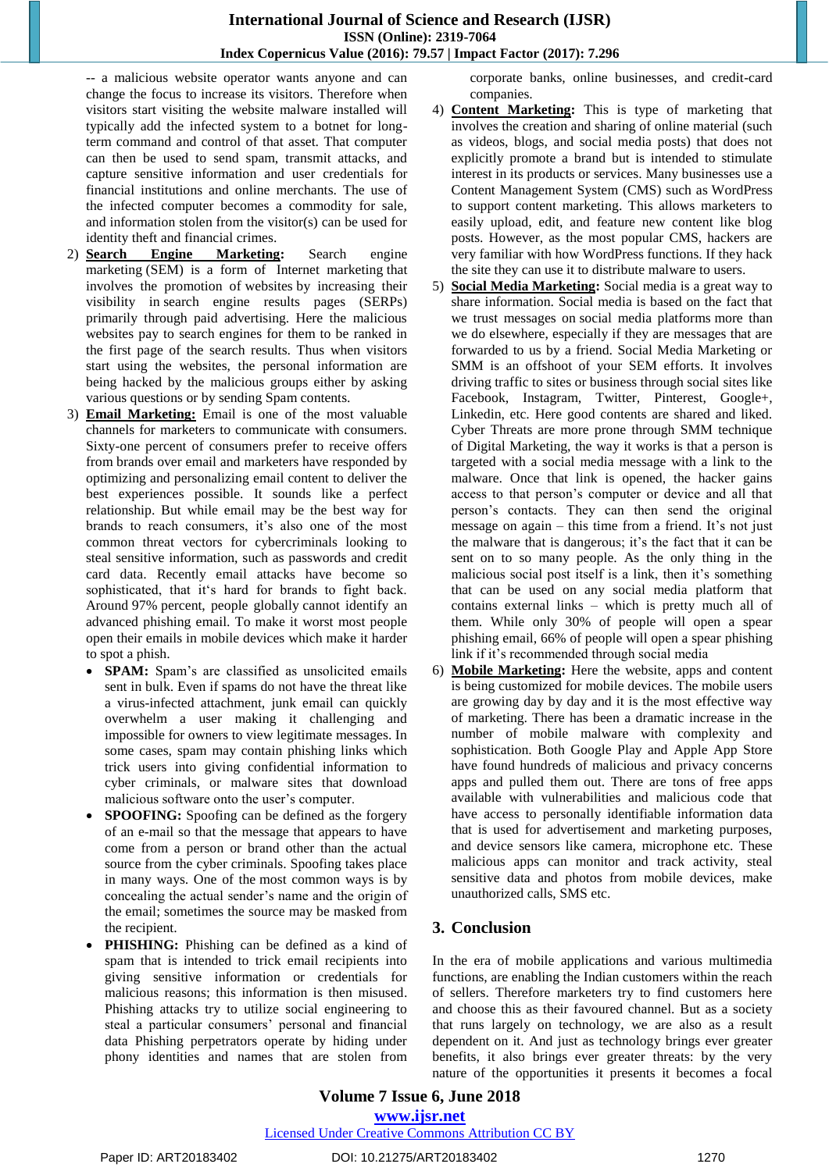-- a malicious website operator wants anyone and can change the focus to increase its visitors. Therefore when visitors start visiting the website malware installed will typically add the infected system to a botnet for longterm command and control of that asset. That computer can then be used to send spam, transmit attacks, and capture sensitive information and user credentials for financial institutions and online merchants. The use of the infected computer becomes a commodity for sale, and information stolen from the visitor(s) can be used for identity theft and financial crimes.

- 2) **Search Engine Marketing:** Search engine marketing (SEM) is a form of Internet marketing that involves the promotion of websites by increasing their visibility in search engine results pages (SERPs) primarily through paid advertising. Here the malicious websites pay to search engines for them to be ranked in the first page of the search results. Thus when visitors start using the websites, the personal information are being hacked by the malicious groups either by asking various questions or by sending Spam contents.
- 3) **Email Marketing:** Email is one of the most valuable channels for marketers to communicate with consumers. Sixty-one percent of consumers prefer to receive offers from brands over email and marketers have responded by optimizing and personalizing email content to deliver the best experiences possible. It sounds like a perfect relationship. But while email may be the best way for brands to reach consumers, it's also one of the most common threat vectors for cybercriminals looking to steal sensitive information, such as passwords and credit card data. Recently email attacks have become so sophisticated, that it's hard for brands to fight back. Around 97% percent, people globally cannot identify an advanced phishing email. To make it worst most people open their emails in mobile devices which make it harder to spot a phish.
	- **SPAM:** Spam's are classified as unsolicited emails sent in bulk. Even if spams do not have the threat like a virus-infected attachment, junk email can quickly overwhelm a user making it challenging and impossible for owners to view legitimate messages. In some cases, spam may contain phishing links which trick users into giving confidential information to cyber criminals, or malware sites that download malicious software onto the user"s computer.
	- **SPOOFING:** Spoofing can be defined as the forgery of an e-mail so that the message that appears to have come from a person or brand other than the actual source from the cyber criminals. Spoofing takes place in many ways. One of the most common ways is by concealing the actual sender's name and the origin of the email; sometimes the source may be masked from the recipient.
	- **PHISHING:** Phishing can be defined as a kind of spam that is intended to trick email recipients into giving sensitive information or credentials for malicious reasons; this information is then misused. Phishing attacks try to utilize social engineering to steal a particular consumers' personal and financial data Phishing perpetrators operate by hiding under phony identities and names that are stolen from

corporate banks, online businesses, and credit-card companies.

- 4) **Content Marketing:** This is type of marketing that involves the creation and sharing of online material (such as videos, blogs, and social media posts) that does not explicitly promote a brand but is intended to stimulate interest in its products or services. Many businesses use a Content Management System (CMS) such as WordPress to support content marketing. This allows marketers to easily upload, edit, and feature new content like blog posts. However, as the most popular CMS, hackers are very familiar with how WordPress functions. If they hack the site they can use it to distribute malware to users.
- 5) **Social Media Marketing:** Social media is a great way to share information. Social media is based on the fact that we trust messages on social media platforms more than we do elsewhere, especially if they are messages that are forwarded to us by a friend. Social Media Marketing or SMM is an offshoot of your SEM efforts. It involves driving traffic to sites or business through social sites like Facebook, Instagram, Twitter, Pinterest, Google+, Linkedin, etc. Here good contents are shared and liked. Cyber Threats are more prone through SMM technique of Digital Marketing, the way it works is that a person is targeted with a social media message with a link to the malware. Once that link is opened, the hacker gains access to that person"s computer or device and all that person"s contacts. They can then send the original message on again – this time from a friend. It's not just the malware that is dangerous; it"s the fact that it can be sent on to so many people. As the only thing in the malicious social post itself is a link, then it's something that can be used on any social media platform that contains external links – which is pretty much all of them. While only 30% of people will open a spear phishing email, 66% of people will open a spear phishing link if it's recommended through social media
- 6) **Mobile Marketing:** Here the website, apps and content is being customized for mobile devices. The mobile users are growing day by day and it is the most effective way of marketing. There has been a dramatic increase in the number of mobile malware with complexity and sophistication. Both Google Play and Apple App Store have found hundreds of malicious and privacy concerns apps and pulled them out. There are tons of free apps available with vulnerabilities and malicious code that have access to personally identifiable information data that is used for advertisement and marketing purposes, and device sensors like camera, microphone etc. These malicious apps can monitor and track activity, steal sensitive data and photos from mobile devices, make unauthorized calls, SMS etc.

## **3. Conclusion**

In the era of mobile applications and various multimedia functions, are enabling the Indian customers within the reach of sellers. Therefore marketers try to find customers here and choose this as their favoured channel. But as a society that runs largely on technology, we are also as a result dependent on it. And just as technology brings ever greater benefits, it also brings ever greater threats: by the very nature of the opportunities it presents it becomes a focal